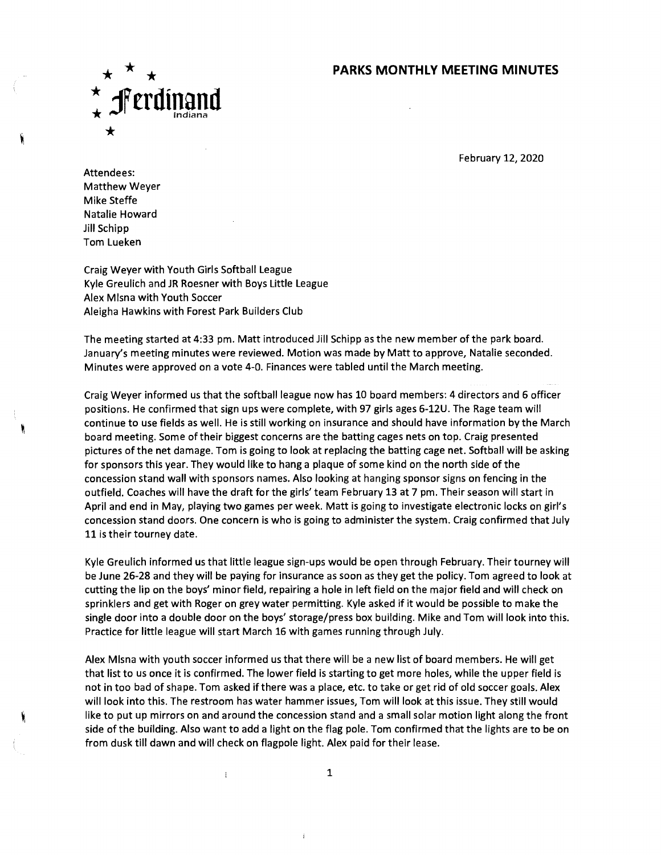## **PARKS MONTHLY MEETING MINUTES**



February 12, 2020

Attendees: Matthew Weyer Mike Steffe Natalie Howard Jill Schipp Tom Lueken

Craig Weyer with Youth Girls Softball League Kyle Greulich and JR Roesner with Boys Little League Alex MIsna with Youth Soccer Aleigha Hawkins with Forest Park Builders Club

The meeting started at 4:33 pm. Matt introduced Jill Schipp as the new member of the park board. January's meeting minutes were reviewed. Motion was made by Matt to approve, Natalie seconded. Minutes were approved on a vote 4-0. Finances were tabled until the March meeting.

Craig Weyer informed us that the softball league now has 10 board members: 4 directors and 6 officer positions. He confirmed that sign ups were complete, with 97 girls ages 6-12U. The Rage team will continue to use fields as well. He is still working on insurance and should have information by the March board meeting. Some of their biggest concerns are the batting cages nets on top. Craig presented pictures of the net damage. Tom is going to look at replacing the batting cage net. Softball will be asking for sponsors this year. They would like to hang a plaque of some kind on the north side of the concession stand wall with sponsors names. Also looking at hanging sponsor signs on fencing in the outfield. Coaches will have the draft for the girls' team February 13 at 7 pm. Their season will start in April and end in May, playing two games per week. Matt is going to investigate electronic locks on girl's concession stand doors. One concern is who is going to administer the system. Craig confirmed that July 11 is their tourney date.

Kyle Greulich informed us that little league sign-ups would be open through February. Their tourney will be June 26-28 and they will be paying for insurance as soon as they get the policy. Tom agreed to look at cutting the lip on the boys' minor field, repairing a hole in left field on the major field and will check on sprinklers and get with Roger on grey water permitting. Kyle asked if it would be possible to make the single door into a double door on the boys' storage/press box building. Mike and Tom will look into this. Practice for little league will start March 16 with games running through July.

Alex MIsna with youth soccer informed us that there will be a new list of board members. He will get that list to us once it is confirmed. The lower field is starting to get more holes, while the upper field is not in too bad of shape. Tom asked if there was a place, etc. to take or get rid of old soccer goals. Alex will look into this. The restroom has water hammer issues, Tom will look at this issue. They still would like to put up mirrors on and around the concession stand and a small solar motion light along the front side of the building. Also want to add a light on the flag pole. Tom confirmed that the lights are to be on from dusk till dawn and will check on flagpole light. Alex paid for their lease.

 $\mathbf{1}$ 

 $\mathbf{i}$ 

 $\mathfrak{t}$